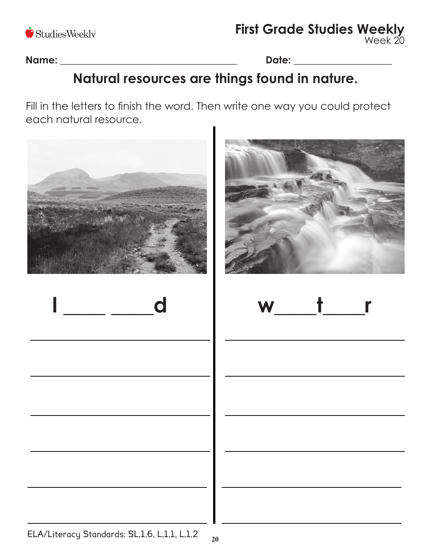

**First Grade Studies Weekly** Week 20

**Name:** \_\_\_\_\_\_\_\_\_\_\_\_\_\_\_\_\_\_\_\_\_\_\_\_\_\_\_\_\_\_\_\_\_\_\_\_ **Date:** \_\_\_\_\_\_\_\_\_\_\_\_\_\_\_\_\_\_\_\_

# **Natural resources are things found in nature.**

Fill in the letters to finish the word. Then write one way you could protect each natural resource.







ELA/Literacy Standards: SL.1.6, L.1.1, L.1.2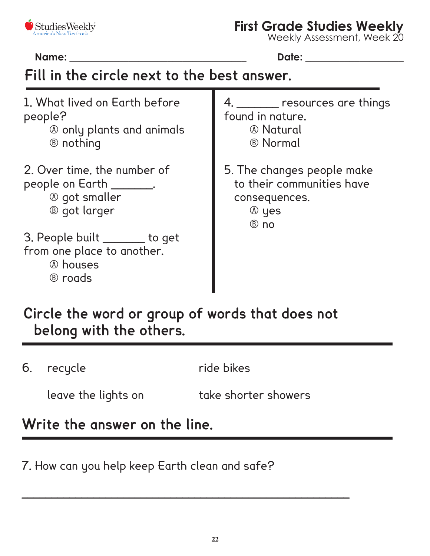

#### **First Grade Studies Weekly**

Weekly Assessment, Week 20

**Name:** \_\_\_\_\_\_\_\_\_\_\_\_\_\_\_\_\_\_\_\_\_\_\_\_\_\_\_\_\_\_\_\_\_\_\_\_ **Date:** \_\_\_\_\_\_\_\_\_\_\_\_\_\_\_\_\_\_\_\_

# **Fill in the circle next to the best answer.**

1. What lived on Earth before people?

- A only plants and animals
- B nothing
- 2. Over time, the number of people on Earth \_\_\_\_\_\_\_.

A got smaller

B got larger

3. People built \_\_\_\_\_\_\_ to get from one place to another.

A houses

B roads

4. \_\_\_\_\_\_\_ resources are things found in nature.

- A Natural
- B Normal
- 5. The changes people make to their communities have consequences.
	- A yes

B no

# **Circle the word or group of words that does not belong with the others.**

 $\_$  , and the set of the set of the set of the set of the set of the set of the set of the set of the set of the set of the set of the set of the set of the set of the set of the set of the set of the set of the set of th

6. recycle **and ride bikes** 

leave the lights on take shorter showers

## **Write the answer on the line.**

7. How can you help keep Earth clean and safe?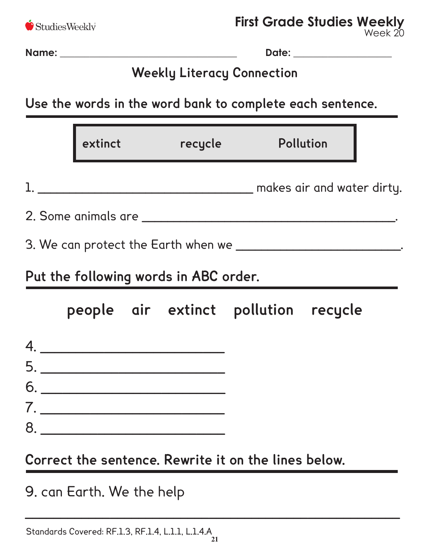

Week 20

**Name:** \_\_\_\_\_\_\_\_\_\_\_\_\_\_\_\_\_\_\_\_\_\_\_\_\_\_\_\_\_\_\_\_\_\_\_\_ **Date:** \_\_\_\_\_\_\_\_\_\_\_\_\_\_\_\_\_\_\_\_

# **Weekly Literacy Connection**

**Use the words in the word bank to complete each sentence.** 

|  | extinct recycle                                                            |                                      | Pollution                                                             |
|--|----------------------------------------------------------------------------|--------------------------------------|-----------------------------------------------------------------------|
|  |                                                                            |                                      |                                                                       |
|  |                                                                            |                                      |                                                                       |
|  |                                                                            |                                      | 3. We can protect the Earth when we ________________________________. |
|  | Put the following words in ABC order.                                      |                                      |                                                                       |
|  |                                                                            | people air extinct pollution recycle |                                                                       |
|  | 4.                                                                         |                                      |                                                                       |
|  | $\begin{array}{c}\n5. \quad \textcolor{blue}{\textbf{5.333}}\n\end{array}$ |                                      |                                                                       |
|  | $6. \underline{\hspace{1.5cm}}$                                            |                                      |                                                                       |
|  | 7.                                                                         |                                      |                                                                       |
|  | $8. \underline{\hspace{1.5cm}}$                                            |                                      |                                                                       |

**Correct the sentence. Rewrite it on the lines below.**

 $\overline{\phantom{a}}$  , and the contract of the contract of the contract of the contract of the contract of the contract of the contract of the contract of the contract of the contract of the contract of the contract of the contrac

9. can Earth. We the help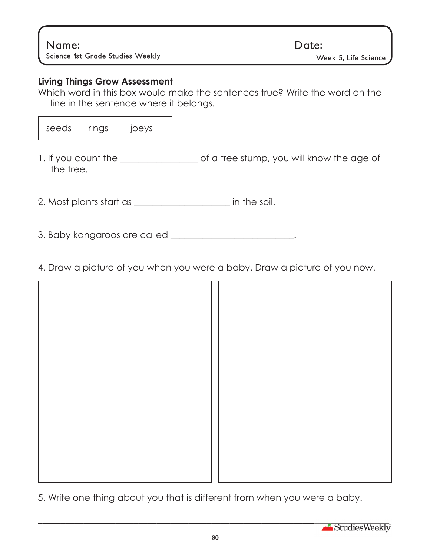**Name: Date:**

**Science 1st Grade Studies Weekly Community Science Access Week 5, Life Science** 

#### **Living Things Grow Assessment**

Which word in this box would make the sentences true? Write the word on the line in the sentence where it belongs.

seeds rings joeys

1. If you count the \_\_\_\_\_\_\_\_\_\_\_\_\_\_\_\_\_ of a tree stump, you will know the age of the tree.

2. Most plants start as \_\_\_\_\_\_\_\_\_\_\_\_\_\_\_\_\_\_\_\_\_ in the soil.

- 3. Baby kangaroos are called \_\_\_\_\_\_\_\_\_\_\_\_\_\_\_\_\_\_\_\_\_\_\_\_.
- 4. Draw a picture of you when you were a baby. Draw a picture of you now.

5. Write one thing about you that is different from when you were a baby.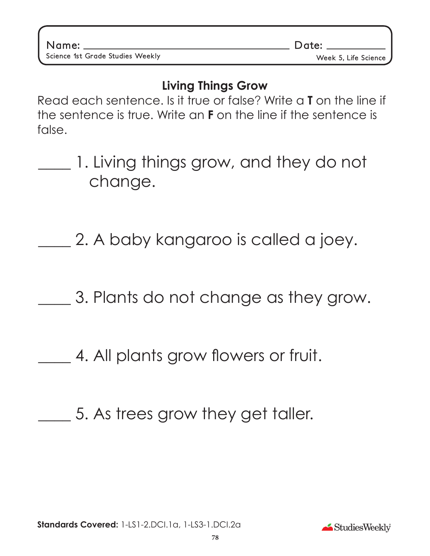### **Living Things Grow**

Read each sentence. Is it true or false? Write a **T** on the line if the sentence is true. Write an **F** on the line if the sentence is false.

1. Living things grow, and they do not change.

2. A baby kangaroo is called a joey.

3. Plants do not change as they grow.

4. All plants grow flowers or fruit.

5. As trees grow they get taller.

StudiesWeekly

**Name: Date:**

Science 1st Grade Studies Weekly **Manual Studies Access 2018** Week 5, Life Science